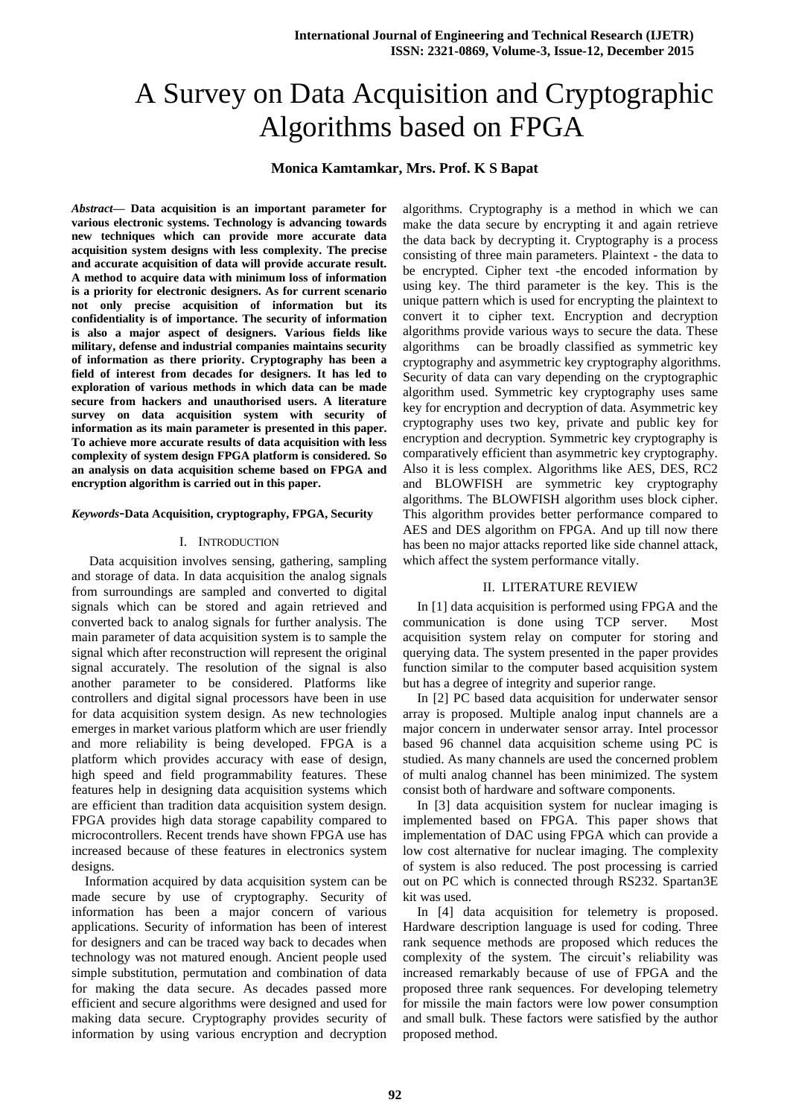# A Survey on Data Acquisition and Cryptographic Algorithms based on FPGA

# **Monica Kamtamkar, Mrs. Prof. K S Bapat**

*Abstract***— Data acquisition is an important parameter for various electronic systems. Technology is advancing towards new techniques which can provide more accurate data acquisition system designs with less complexity. The precise and accurate acquisition of data will provide accurate result. A method to acquire data with minimum loss of information is a priority for electronic designers. As for current scenario not only precise acquisition of information but its confidentiality is of importance. The security of information is also a major aspect of designers. Various fields like military, defense and industrial companies maintains security of information as there priority. Cryptography has been a field of interest from decades for designers. It has led to exploration of various methods in which data can be made secure from hackers and unauthorised users. A literature survey on data acquisition system with security of information as its main parameter is presented in this paper. To achieve more accurate results of data acquisition with less complexity of system design FPGA platform is considered. So an analysis on data acquisition scheme based on FPGA and encryption algorithm is carried out in this paper.**

### *Keywords*-**Data Acquisition, cryptography, FPGA, Security**

### I. INTRODUCTION

Data acquisition involves sensing, gathering, sampling and storage of data. In data acquisition the analog signals from surroundings are sampled and converted to digital signals which can be stored and again retrieved and converted back to analog signals for further analysis. The main parameter of data acquisition system is to sample the signal which after reconstruction will represent the original signal accurately. The resolution of the signal is also another parameter to be considered. Platforms like controllers and digital signal processors have been in use for data acquisition system design. As new technologies emerges in market various platform which are user friendly and more reliability is being developed. FPGA is a platform which provides accuracy with ease of design, high speed and field programmability features. These features help in designing data acquisition systems which are efficient than tradition data acquisition system design. FPGA provides high data storage capability compared to microcontrollers. Recent trends have shown FPGA use has increased because of these features in electronics system designs.

 Information acquired by data acquisition system can be made secure by use of cryptography. Security of information has been a major concern of various applications. Security of information has been of interest for designers and can be traced way back to decades when technology was not matured enough. Ancient people used simple substitution, permutation and combination of data for making the data secure. As decades passed more efficient and secure algorithms were designed and used for making data secure. Cryptography provides security of information by using various encryption and decryption

algorithms. Cryptography is a method in which we can make the data secure by encrypting it and again retrieve the data back by decrypting it. Cryptography is a process consisting of three main parameters. Plaintext - the data to be encrypted. Cipher text -the encoded information by using key. The third parameter is the key. This is the unique pattern which is used for encrypting the plaintext to convert it to cipher text. Encryption and decryption algorithms provide various ways to secure the data. These algorithms can be broadly classified as symmetric key cryptography and asymmetric key cryptography algorithms. Security of data can vary depending on the cryptographic algorithm used. Symmetric key cryptography uses same key for encryption and decryption of data. Asymmetric key cryptography uses two key, private and public key for encryption and decryption. Symmetric key cryptography is comparatively efficient than asymmetric key cryptography. Also it is less complex. Algorithms like AES, DES, RC2 and BLOWFISH are symmetric key cryptography algorithms. The BLOWFISH algorithm uses block cipher. This algorithm provides better performance compared to AES and DES algorithm on FPGA. And up till now there has been no major attacks reported like side channel attack, which affect the system performance vitally.

#### II. LITERATURE REVIEW

In [1] data acquisition is performed using FPGA and the communication is done using TCP server. Most acquisition system relay on computer for storing and querying data. The system presented in the paper provides function similar to the computer based acquisition system but has a degree of integrity and superior range.

In [2] PC based data acquisition for underwater sensor array is proposed. Multiple analog input channels are a major concern in underwater sensor array. Intel processor based 96 channel data acquisition scheme using PC is studied. As many channels are used the concerned problem of multi analog channel has been minimized. The system consist both of hardware and software components.

In [3] data acquisition system for nuclear imaging is implemented based on FPGA. This paper shows that implementation of DAC using FPGA which can provide a low cost alternative for nuclear imaging. The complexity of system is also reduced. The post processing is carried out on PC which is connected through RS232. Spartan3E kit was used.

In [4] data acquisition for telemetry is proposed. Hardware description language is used for coding. Three rank sequence methods are proposed which reduces the complexity of the system. The circuit's reliability was increased remarkably because of use of FPGA and the proposed three rank sequences. For developing telemetry for missile the main factors were low power consumption and small bulk. These factors were satisfied by the author proposed method.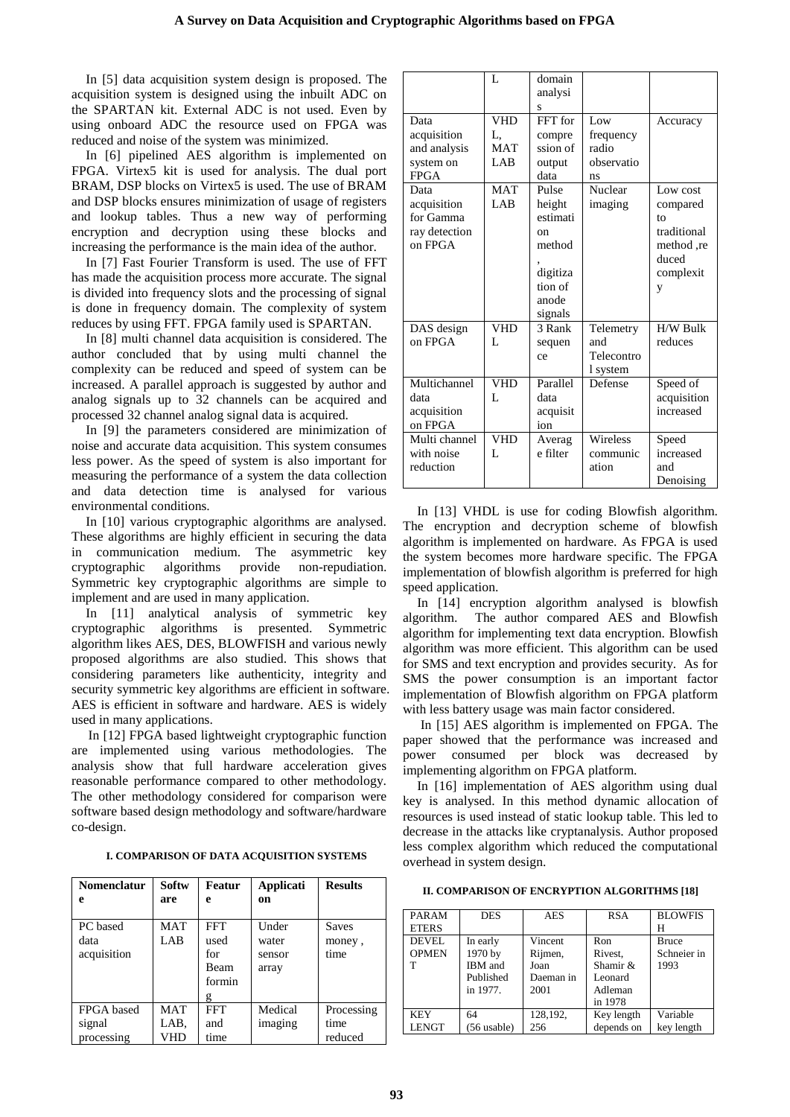In [5] data acquisition system design is proposed. The acquisition system is designed using the inbuilt ADC on the SPARTAN kit. External ADC is not used. Even by using onboard ADC the resource used on FPGA was reduced and noise of the system was minimized.

In [6] pipelined AES algorithm is implemented on FPGA. Virtex5 kit is used for analysis. The dual port BRAM, DSP blocks on Virtex5 is used. The use of BRAM and DSP blocks ensures minimization of usage of registers and lookup tables. Thus a new way of performing encryption and decryption using these blocks and increasing the performance is the main idea of the author.

In [7] Fast Fourier Transform is used. The use of FFT has made the acquisition process more accurate. The signal is divided into frequency slots and the processing of signal is done in frequency domain. The complexity of system reduces by using FFT. FPGA family used is SPARTAN.

In [8] multi channel data acquisition is considered. The author concluded that by using multi channel the complexity can be reduced and speed of system can be increased. A parallel approach is suggested by author and analog signals up to 32 channels can be acquired and processed 32 channel analog signal data is acquired.

In [9] the parameters considered are minimization of noise and accurate data acquisition. This system consumes less power. As the speed of system is also important for measuring the performance of a system the data collection and data detection time is analysed for various environmental conditions.

In [10] various cryptographic algorithms are analysed. These algorithms are highly efficient in securing the data in communication medium. The asymmetric key cryptographic algorithms provide non-repudiation. Symmetric key cryptographic algorithms are simple to implement and are used in many application.

In [11] analytical analysis of symmetric key cryptographic algorithms is presented. Symmetric algorithm likes AES, DES, BLOWFISH and various newly proposed algorithms are also studied. This shows that considering parameters like authenticity, integrity and security symmetric key algorithms are efficient in software. AES is efficient in software and hardware. AES is widely used in many applications.

 In [12] FPGA based lightweight cryptographic function are implemented using various methodologies. The analysis show that full hardware acceleration gives reasonable performance compared to other methodology. The other methodology considered for comparison were software based design methodology and software/hardware co-design.

**I. COMPARISON OF DATA ACQUISITION SYSTEMS**

| <b>Nomenclatur</b> | Softw      | Featur     | Applicati     | <b>Results</b> |
|--------------------|------------|------------|---------------|----------------|
| e                  | are        | e          | <sub>on</sub> |                |
|                    |            |            |               |                |
| PC based           | <b>MAT</b> | <b>FFT</b> | Under         | <b>Saves</b>   |
| data               | LAB        | used       | water         | money,         |
| acquisition        |            | for        | sensor        | time           |
|                    |            | Beam       | array         |                |
|                    |            | formin     |               |                |
|                    |            | g          |               |                |
| FPGA based         | <b>MAT</b> | <b>FFT</b> | Medical       | Processing     |
| signal             | LAB.       | and        | imaging       | time           |
| processing         | VHD        | time       |               | reduced        |

|                                                                 | L                                      | domain<br>analysi<br>S                                                                 |                                               |                                                                                   |
|-----------------------------------------------------------------|----------------------------------------|----------------------------------------------------------------------------------------|-----------------------------------------------|-----------------------------------------------------------------------------------|
| Data<br>acquisition<br>and analysis<br>system on<br><b>FPGA</b> | <b>VHD</b><br>L,<br><b>MAT</b><br>LAB. | FFT for<br>compre<br>ssion of<br>output<br>data                                        | Low<br>frequency<br>radio<br>observatio<br>ns | Accuracy                                                                          |
| Data<br>acquisition<br>for Gamma<br>ray detection<br>on FPGA    | <b>MAT</b><br>LAB.                     | Pulse<br>height<br>estimati<br>on<br>method<br>digitiza<br>tion of<br>anode<br>signals | Nuclear<br>imaging                            | Low cost<br>compared<br>tο<br>traditional<br>method,re<br>duced<br>complexit<br>y |
| DAS design<br>on FPGA                                           | <b>VHD</b><br>L                        | 3 Rank<br>sequen<br>ce                                                                 | Telemetry<br>and<br>Telecontro<br>1 system    | H/W Bulk<br>reduces                                                               |
| Multichannel<br>data<br>acquisition<br>on FPGA                  | <b>VHD</b><br>L                        | Parallel<br>data<br>acquisit<br>ion                                                    | Defense                                       | Speed of<br>acquisition<br>increased                                              |
| Multi channel<br>with noise<br>reduction                        | <b>VHD</b><br>L                        | Averag<br>e filter                                                                     | Wireless<br>communic<br>ation                 | Speed<br>increased<br>and<br>Denoising                                            |

In [13] VHDL is use for coding Blowfish algorithm. The encryption and decryption scheme of blowfish algorithm is implemented on hardware. As FPGA is used the system becomes more hardware specific. The FPGA implementation of blowfish algorithm is preferred for high speed application.

In [14] encryption algorithm analysed is blowfish algorithm. The author compared AES and Blowfish algorithm for implementing text data encryption. Blowfish algorithm was more efficient. This algorithm can be used for SMS and text encryption and provides security. As for SMS the power consumption is an important factor implementation of Blowfish algorithm on FPGA platform with less battery usage was main factor considered.

In [15] AES algorithm is implemented on FPGA. The paper showed that the performance was increased and power consumed per block was decreased by implementing algorithm on FPGA platform.

In [16] implementation of AES algorithm using dual key is analysed. In this method dynamic allocation of resources is used instead of static lookup table. This led to decrease in the attacks like cryptanalysis. Author proposed less complex algorithm which reduced the computational overhead in system design.

 **II. COMPARISON OF ENCRYPTION ALGORITHMS [18]**

| <b>PARAM</b><br><b>ETERS</b> | <b>DES</b>                                                     | <b>AES</b>                                      | <b>RSA</b>                                                  | <b>BLOWFIS</b><br>н                 |
|------------------------------|----------------------------------------------------------------|-------------------------------------------------|-------------------------------------------------------------|-------------------------------------|
| DEVEL.<br><b>OPMEN</b><br>т  | In early<br>1970 by<br><b>IBM</b> and<br>Published<br>in 1977. | Vincent<br>Rijmen,<br>Joan<br>Daeman in<br>2001 | Ron<br>Rivest.<br>Shamir &<br>Leonard<br>Adleman<br>in 1978 | <b>Bruce</b><br>Schneier in<br>1993 |
| <b>KEY</b><br><b>LENGT</b>   | 64<br>$(56$ usable)                                            | 128,192,<br>256                                 | Key length<br>depends on                                    | Variable<br>key length              |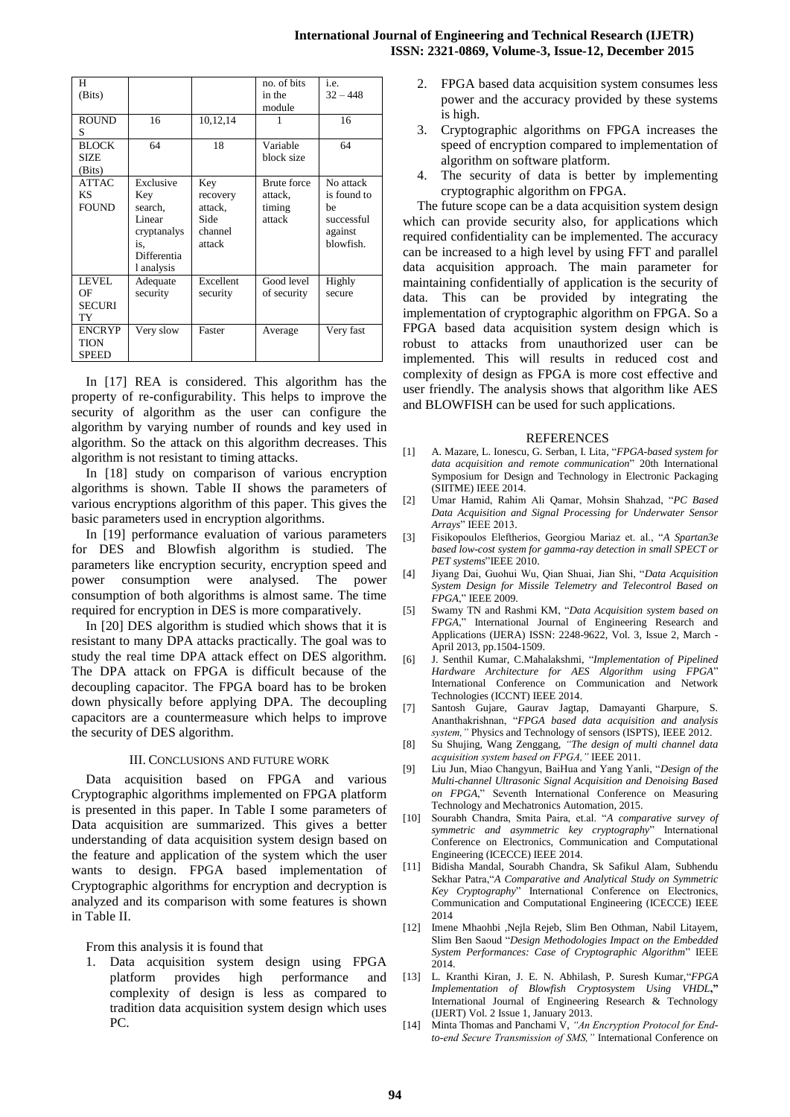| H             |             |           | no. of bits        | i.e.        |
|---------------|-------------|-----------|--------------------|-------------|
| (Bits)        |             |           | in the             | $32 - 448$  |
|               |             |           | module             |             |
| <b>ROUND</b>  | 16          | 10,12,14  |                    | 16          |
| S             |             |           |                    |             |
| <b>BLOCK</b>  | 64          | 18        | Variable           | 64          |
| <b>SIZE</b>   |             |           | block size         |             |
| (Bits)        |             |           |                    |             |
| <b>ATTAC</b>  | Exclusive   | Key       | <b>Brute</b> force | No attack   |
| KS.           | Key         | recovery  | attack,            | is found to |
| <b>FOUND</b>  | search,     | attack,   | timing             | he.         |
|               | Linear      | Side      | attack             | successful  |
|               | cryptanalys | channel   |                    | against     |
|               | is.         | attack    |                    | blowfish.   |
|               | Differentia |           |                    |             |
|               | 1 analysis  |           |                    |             |
| LEVEL.        | Adequate    | Excellent | Good level         | Highly      |
| OF            | security    | security  | of security        | secure      |
| <b>SECURI</b> |             |           |                    |             |
| TY            |             |           |                    |             |
| <b>ENCRYP</b> | Very slow   | Faster    | Average            | Very fast   |
| <b>TION</b>   |             |           |                    |             |
| <b>SPEED</b>  |             |           |                    |             |

In [17] REA is considered. This algorithm has the property of re-configurability. This helps to improve the security of algorithm as the user can configure the algorithm by varying number of rounds and key used in algorithm. So the attack on this algorithm decreases. This algorithm is not resistant to timing attacks.

In [18] study on comparison of various encryption algorithms is shown. Table II shows the parameters of various encryptions algorithm of this paper. This gives the basic parameters used in encryption algorithms.

In [19] performance evaluation of various parameters for DES and Blowfish algorithm is studied. The parameters like encryption security, encryption speed and power consumption were analysed. The power consumption of both algorithms is almost same. The time required for encryption in DES is more comparatively.

In [20] DES algorithm is studied which shows that it is resistant to many DPA attacks practically. The goal was to study the real time DPA attack effect on DES algorithm. The DPA attack on FPGA is difficult because of the decoupling capacitor. The FPGA board has to be broken down physically before applying DPA. The decoupling capacitors are a countermeasure which helps to improve the security of DES algorithm.

## III. CONCLUSIONS AND FUTURE WORK

Data acquisition based on FPGA and various Cryptographic algorithms implemented on FPGA platform is presented in this paper. In Table I some parameters of Data acquisition are summarized. This gives a better understanding of data acquisition system design based on the feature and application of the system which the user wants to design. FPGA based implementation of Cryptographic algorithms for encryption and decryption is analyzed and its comparison with some features is shown in Table II.

From this analysis it is found that

1. Data acquisition system design using FPGA platform provides high performance and complexity of design is less as compared to tradition data acquisition system design which uses PC.

- 2. FPGA based data acquisition system consumes less power and the accuracy provided by these systems is high.
- 3. Cryptographic algorithms on FPGA increases the speed of encryption compared to implementation of algorithm on software platform.
- 4. The security of data is better by implementing cryptographic algorithm on FPGA.

The future scope can be a data acquisition system design which can provide security also, for applications which required confidentiality can be implemented. The accuracy can be increased to a high level by using FFT and parallel data acquisition approach. The main parameter for maintaining confidentially of application is the security of data. This can be provided by integrating the implementation of cryptographic algorithm on FPGA. So a FPGA based data acquisition system design which is robust to attacks from unauthorized user can be implemented. This will results in reduced cost and complexity of design as FPGA is more cost effective and user friendly. The analysis shows that algorithm like AES and BLOWFISH can be used for such applications.

#### REFERENCES

- [1] A. Mazare, L. Ionescu, G. Serban, I. Lita, "*FPGA-based system for data acquisition and remote communication*" 20th International Symposium for Design and Technology in Electronic Packaging (SIITME) IEEE 2014.
- [2] Umar Hamid, Rahim Ali Qamar, Mohsin Shahzad, "*PC Based Data Acquisition and Signal Processing for Underwater Sensor Arrays*" IEEE 2013.
- [3] Fisikopoulos Eleftherios, Georgiou Mariaz et. al., "*A Spartan3e based low-cost system for gamma-ray detection in small SPECT or PET systems*"IEEE 2010.
- [4] Jiyang Dai, Guohui Wu, Qian Shuai, Jian Shi, "*Data Acquisition System Design for Missile Telemetry and Telecontrol Based on FPGA*," IEEE 2009.
- [5] Swamy TN and Rashmi KM, "*Data Acquisition system based on FPGA*," International Journal of Engineering Research and Applications (IJERA) ISSN: 2248-9622, Vol. 3, Issue 2, March - April 2013, pp.1504-1509.
- [6] J. Senthil Kumar, C.Mahalakshmi, "*Implementation of Pipelined Hardware Architecture for AES Algorithm using FPGA*" International Conference on Communication and Network Technologies (ICCNT) IEEE 2014.
- [7] Santosh Gujare, Gaurav Jagtap, Damayanti Gharpure, S. Ananthakrishnan, "*FPGA based data acquisition and analysis system,"* Physics and Technology of sensors (ISPTS), IEEE 2012.
- [8] Su Shujing, Wang Zenggang, *"The design of multi channel data acquisition system based on FPGA,"* IEEE 2011.
- [9] Liu Jun, Miao Changyun, BaiHua and Yang Yanli, "*Design of the Multi-channel Ultrasonic Signal Acquisition and Denoising Based on FPGA*," Seventh International Conference on Measuring Technology and Mechatronics Automation, 2015.
- [10] Sourabh Chandra, Smita Paira, et.al. "*A comparative survey of symmetric and asymmetric key cryptography*" International Conference on Electronics, Communication and Computational Engineering (ICECCE) IEEE 2014.
- [11] Bidisha Mandal, Sourabh Chandra, Sk Safikul Alam, Subhendu Sekhar Patra,"*A Comparative and Analytical Study on Symmetric Key Cryptography*" International Conference on Electronics, Communication and Computational Engineering (ICECCE) IEEE 2014
- [12] Imene Mhaohbi ,Nejla Rejeb, Slim Ben Othman, Nabil Litayem, Slim Ben Saoud "*Design Methodologies Impact on the Embedded System Performances: Case of Cryptographic Algorithm*" IEEE 2014.
- [13] L. Kranthi Kiran, J. E. N. Abhilash, P. Suresh Kumar,"*FPGA Implementation of Blowfish Cryptosystem Using VHDL***,"** International Journal of Engineering Research & Technology (IJERT) Vol. 2 Issue 1, January 2013.
- [14] Minta Thomas and Panchami V, *"An Encryption Protocol for Endto-end Secure Transmission of SMS,"* International Conference on